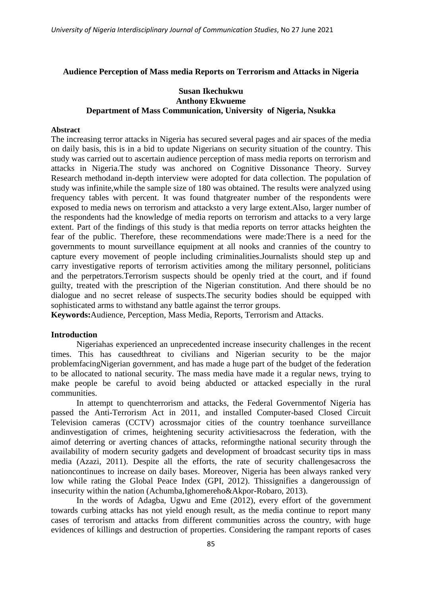### **Audience Perception of Mass media Reports on Terrorism and Attacks in Nigeria**

# **Susan Ikechukwu Anthony Ekwueme Department of Mass Communication, University of Nigeria, Nsukka**

#### **Abstract**

The increasing terror attacks in Nigeria has secured several pages and air spaces of the media on daily basis, this is in a bid to update Nigerians on security situation of the country. This study was carried out to ascertain audience perception of mass media reports on terrorism and attacks in Nigeria.The study was anchored on Cognitive Dissonance Theory. Survey Research methodand in-depth interview were adopted for data collection. The population of study was infinite,while the sample size of 180 was obtained. The results were analyzed using frequency tables with percent. It was found thatgreater number of the respondents were exposed to media news on terrorism and attacksto a very large extent.Also, larger number of the respondents had the knowledge of media reports on terrorism and attacks to a very large extent. Part of the findings of this study is that media reports on terror attacks heighten the fear of the public. Therefore, these recommendations were made:There is a need for the governments to mount surveillance equipment at all nooks and crannies of the country to capture every movement of people including criminalities.Journalists should step up and carry investigative reports of terrorism activities among the military personnel, politicians and the perpetrators.Terrorism suspects should be openly tried at the court, and if found guilty, treated with the prescription of the Nigerian constitution. And there should be no dialogue and no secret release of suspects.The security bodies should be equipped with sophisticated arms to withstand any battle against the terror groups.

**Keywords:**Audience, Perception, Mass Media, Reports, Terrorism and Attacks.

# **Introduction**

Nigeriahas experienced an unprecedented increase insecurity challenges in the recent times. This has causedthreat to civilians and Nigerian security to be the major problemfacingNigerian government, and has made a huge part of the budget of the federation to be allocated to national security. The mass media have made it a regular news, trying to make people be careful to avoid being abducted or attacked especially in the rural communities.

In attempt to quenchterrorism and attacks, the Federal Governmentof Nigeria has passed the Anti-Terrorism Act in 2011, and installed Computer-based Closed Circuit Television cameras (CCTV) acrossmajor cities of the country toenhance surveillance andinvestigation of crimes, heightening security activitiesacross the federation, with the aimof deterring or averting chances of attacks, reformingthe national security through the availability of modern security gadgets and development of broadcast security tips in mass media (Azazi, 2011). Despite all the efforts, the rate of security challengesacross the nationcontinues to increase on daily bases. Moreover, Nigeria has been always ranked very low while rating the Global Peace Index (GPI, 2012). Thissignifies a dangeroussign of insecurity within the nation (Achumba,Ighomereho&Akpor-Robaro, 2013).

In the words of Adagba, Ugwu and Eme (2012), every effort of the government towards curbing attacks has not yield enough result, as the media continue to report many cases of terrorism and attacks from different communities across the country, with huge evidences of killings and destruction of properties. Considering the rampant reports of cases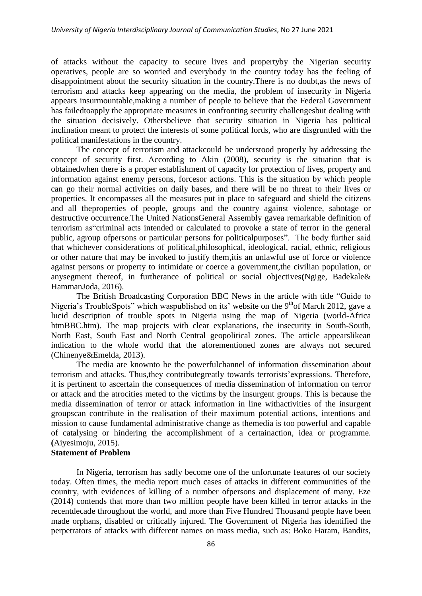of attacks without the capacity to secure lives and propertyby the Nigerian security operatives, people are so worried and everybody in the country today has the feeling of disappointment about the security situation in the country.There is no doubt,as the news of terrorism and attacks keep appearing on the media, the problem of insecurity in Nigeria appears insurmountable,making a number of people to believe that the Federal Government has failedtoapply the appropriate measures in confronting security challengesbut dealing with the situation decisively. Othersbelieve that security situation in Nigeria has political inclination meant to protect the interests of some political lords, who are disgruntled with the political manifestations in the country.

The concept of terrorism and attackcould be understood properly by addressing the concept of security first. According to Akin (2008), security is the situation that is obtainedwhen there is a proper establishment of capacity for protection of lives, property and information against enemy persons, forcesor actions. This is the situation by which people can go their normal activities on daily bases, and there will be no threat to their lives or properties. It encompasses all the measures put in place to safeguard and shield the citizens and all theproperties of people, groups and the country against violence, sabotage or destructive occurrence.The United NationsGeneral Assembly gavea remarkable definition of terrorism as"criminal acts intended or calculated to provoke a state of terror in the general public, agroup ofpersons or particular persons for politicalpurposes". The body further said that whichever considerations of political,philosophical, ideological, racial, ethnic, religious or other nature that may be invoked to justify them,itis an unlawful use of force or violence against persons or property to intimidate or coerce a government,the civilian population, or anysegment thereof, in furtherance of political or social objectives**(**Ngige, Badekale& HammanJoda, 2016).

The British Broadcasting Corporation BBC News in the article with title "Guide to Nigeria's TroubleSpots" which waspublished on its' website on the  $9<sup>th</sup>$ of March 2012, gave a lucid description of trouble spots in Nigeria using the map of Nigeria (world-Africa htmBBC.htm). The map projects with clear explanations, the insecurity in South-South, North East, South East and North Central geopolitical zones. The article appearslikean indication to the whole world that the aforementioned zones are always not secured (Chinenye&Emelda, 2013).

The media are knownto be the powerfulchannel of information dissemination about terrorism and attacks. Thus, they contributegreatly towards terrorists' expressions. Therefore, it is pertinent to ascertain the consequences of media dissemination of information on terror or attack and the atrocities meted to the victims by the insurgent groups. This is because the media dissemination of terror or attack information in line withactivities of the insurgent groupscan contribute in the realisation of their maximum potential actions, intentions and mission to cause fundamental administrative change as themedia is too powerful and capable of catalysing or hindering the accomplishment of a certainaction, idea or programme. **(**Aiyesimoju, 2015).

# **Statement of Problem**

In Nigeria, terrorism has sadly become one of the unfortunate features of our society today. Often times, the media report much cases of attacks in different communities of the country, with evidences of killing of a number of persons and displacement of many. Eze (2014) contends that more than two million people have been killed in terror attacks in the recentdecade throughout the world, and more than Five Hundred Thousand people have been made orphans, disabled or critically injured. The Government of Nigeria has identified the perpetrators of attacks with different names on mass media, such as: Boko Haram, Bandits,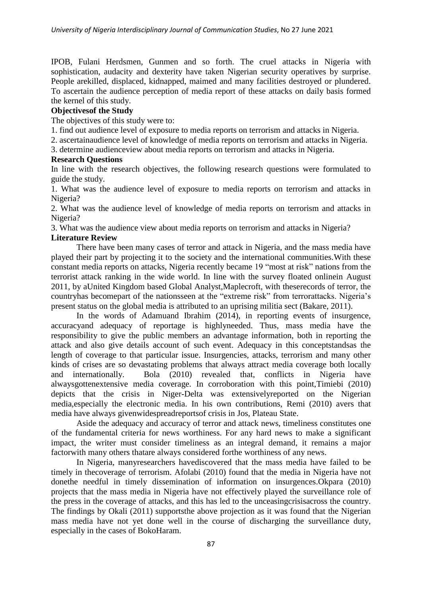IPOB, Fulani Herdsmen, Gunmen and so forth. The cruel attacks in Nigeria with sophistication, audacity and dexterity have taken Nigerian security operatives by surprise. People arekilled, displaced, kidnapped, maimed and many facilities destroyed or plundered. To ascertain the audience perception of media report of these attacks on daily basis formed the kernel of this study.

# **Objectivesof the Study**

The objectives of this study were to:

1. find out audience level of exposure to media reports on terrorism and attacks in Nigeria.

2. ascertainaudience level of knowledge of media reports on terrorism and attacks in Nigeria.

3. determine audienceview about media reports on terrorism and attacks in Nigeria.

# **Research Questions**

In line with the research objectives, the following research questions were formulated to guide the study.

1. What was the audience level of exposure to media reports on terrorism and attacks in Nigeria?

2. What was the audience level of knowledge of media reports on terrorism and attacks in Nigeria?

3. What was the audience view about media reports on terrorism and attacks in Nigeria?

# **Literature Review**

There have been many cases of terror and attack in Nigeria, and the mass media have played their part by projecting it to the society and the international communities.With these constant media reports on attacks, Nigeria recently became 19 "most at risk" nations from the terrorist attack ranking in the wide world. In line with the survey floated onlinein August 2011, by aUnited Kingdom based Global Analyst,Maplecroft, with theserecords of terror, the countryhas becomepart of the nationsseen at the "extreme risk" from terrorattacks. Nigeria"s present status on the global media is attributed to an uprising militia sect (Bakare, 2011).

In the words of Adamuand Ibrahim (2014), in reporting events of insurgence, accuracyand adequacy of reportage is highlyneeded. Thus, mass media have the responsibility to give the public members an advantage information, both in reporting the attack and also give details account of such event. Adequacy in this conceptstandsas the length of coverage to that particular issue. Insurgencies, attacks, terrorism and many other kinds of crises are so devastating problems that always attract media coverage both locally and internationally. Bola (2010) revealed that, conflicts in Nigeria have alwaysgottenextensive media coverage. In corroboration with this point,Timiebi (2010) depicts that the crisis in Niger-Delta was extensivelyreported on the Nigerian media,especially the electronic media. In his own contributions, Remi (2010) avers that media have always givenwidespreadreportsof crisis in Jos, Plateau State.

Aside the adequacy and accuracy of terror and attack news, timeliness constitutes one of the fundamental criteria for news worthiness. For any hard news to make a significant impact, the writer must consider timeliness as an integral demand, it remains a major factorwith many others thatare always considered forthe worthiness of any news.

In Nigeria, manyresearchers havediscovered that the mass media have failed to be timely in thecoverage of terrorism. Afolabi (2010) found that the media in Nigeria have not donethe needful in timely dissemination of information on insurgences.Okpara (2010) projects that the mass media in Nigeria have not effectively played the surveillance role of the press in the coverage of attacks, and this has led to the unceasingcrisisacross the country. The findings by Okali (2011) supportsthe above projection as it was found that the Nigerian mass media have not yet done well in the course of discharging the surveillance duty, especially in the cases of BokoHaram.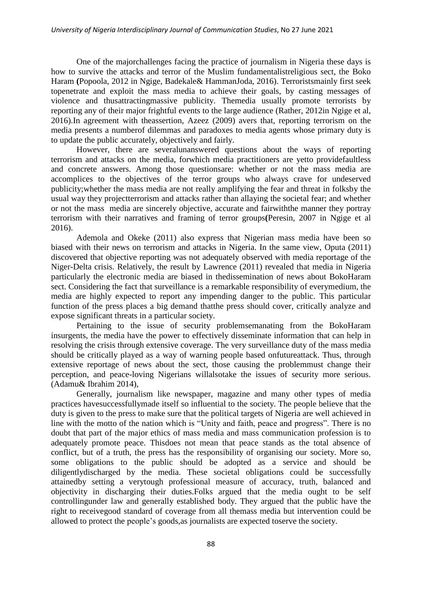One of the majorchallenges facing the practice of journalism in Nigeria these days is how to survive the attacks and terror of the Muslim fundamentalistreligious sect, the Boko Haram **(**Popoola, 2012 in Ngige, Badekale& HammanJoda, 2016). Terroristsmainly first seek topenetrate and exploit the mass media to achieve their goals, by casting messages of violence and thusattractingmassive publicity. Themedia usually promote terrorists by reporting any of their major frightful events to the large audience (Rather, 2012in Ngige et al, 2016).In agreement with theassertion, Azeez (2009) avers that, reporting terrorism on the media presents a numberof dilemmas and paradoxes to media agents whose primary duty is to update the public accurately, objectively and fairly.

However, there are severalunanswered questions about the ways of reporting terrorism and attacks on the media, forwhich media practitioners are yetto providefaultless and concrete answers. Among those questionsare: whether or not the mass media are accomplices to the objectives of the terror groups who always crave for undeserved publicity;whether the mass media are not really amplifying the fear and threat in folksby the usual way they projectterrorism and attacks rather than allaying the societal fear; and whether or not the mass media are sincerely objective, accurate and fairwiththe manner they portray terrorism with their narratives and framing of terror groups**(**Peresin, 2007 in Ngige et al 2016).

Ademola and Okeke (2011) also express that Nigerian mass media have been so biased with their news on terrorism and attacks in Nigeria. In the same view, Oputa (2011) discovered that objective reporting was not adequately observed with media reportage of the Niger-Delta crisis. Relatively, the result by Lawrence (2011) revealed that media in Nigeria particularly the electronic media are biased in thedissemination of news about BokoHaram sect. Considering the fact that surveillance is a remarkable responsibility of everymedium, the media are highly expected to report any impending danger to the public. This particular function of the press places a big demand thatthe press should cover, critically analyze and expose significant threats in a particular society.

Pertaining to the issue of security problemsemanating from the BokoHaram insurgents, the media have the power to effectively disseminate information that can help in resolving the crisis through extensive coverage. The very surveillance duty of the mass media should be critically played as a way of warning people based onfutureattack. Thus, through extensive reportage of news about the sect, those causing the problemmust change their perception, and peace-loving Nigerians willalsotake the issues of security more serious. (Adamu& Ibrahim 2014),

Generally, journalism like newspaper, magazine and many other types of media practices havesuccessfullymade itself so influential to the society. The people believe that the duty is given to the press to make sure that the political targets of Nigeria are well achieved in line with the motto of the nation which is "Unity and faith, peace and progress". There is no doubt that part of the major ethics of mass media and mass communication profession is to adequately promote peace. Thisdoes not mean that peace stands as the total absence of conflict, but of a truth, the press has the responsibility of organising our society. More so, some obligations to the public should be adopted as a service and should be diligentlydischarged by the media. These societal obligations could be successfully attainedby setting a verytough professional measure of accuracy, truth, balanced and objectivity in discharging their duties.Folks argued that the media ought to be self controllingunder law and generally established body. They argued that the public have the right to receivegood standard of coverage from all themass media but intervention could be allowed to protect the people"s goods,as journalists are expected toserve the society.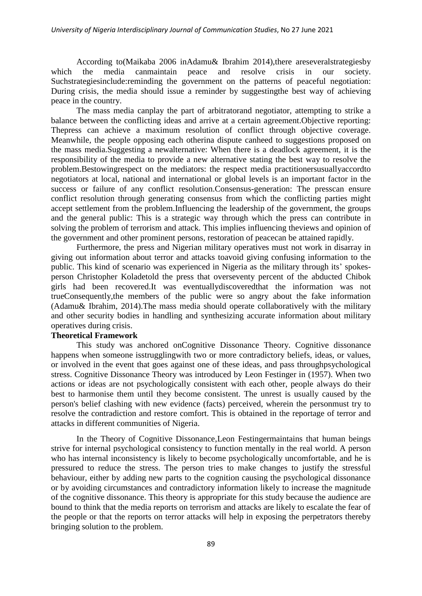According to(Maikaba 2006 inAdamu& Ibrahim 2014),there areseveralstrategiesby which the media canmaintain peace and resolve crisis in our society. Suchstrategiesinclude:reminding the government on the patterns of peaceful negotiation: During crisis, the media should issue a reminder by suggestingthe best way of achieving peace in the country.

The mass media canplay the part of arbitratorand negotiator, attempting to strike a balance between the conflicting ideas and arrive at a certain agreement.Objective reporting: Thepress can achieve a maximum resolution of conflict through objective coverage. Meanwhile, the people opposing each otherina dispute canheed to suggestions proposed on the mass media.Suggesting a newalternative: When there is a deadlock agreement, it is the responsibility of the media to provide a new alternative stating the best way to resolve the problem.Bestowingrespect on the mediators: the respect media practitionersusuallyaccordto negotiators at local, national and international or global levels is an important factor in the success or failure of any conflict resolution.Consensus-generation: The presscan ensure conflict resolution through generating consensus from which the conflicting parties might accept settlement from the problem.Influencing the leadership of the government, the groups and the general public: This is a strategic way through which the press can contribute in solving the problem of terrorism and attack. This implies influencing theviews and opinion of the government and other prominent persons, restoration of peacecan be attained rapidly.

Furthermore, the press and Nigerian military operatives must not work in disarray in giving out information about terror and attacks toavoid giving confusing information to the public. This kind of scenario was experienced in Nigeria as the military through its' spokesperson Christopher Koladetold the press that overseventy percent of the abducted Chibok girls had been recovered.It was eventuallydiscoveredthat the information was not trueConsequently,the members of the public were so angry about the fake information (Adamu& Ibrahim, 2014).The mass media should operate collaboratively with the military and other security bodies in handling and synthesizing accurate information about military operatives during crisis.

#### **Theoretical Framework**

This study was anchored onCognitive Dissonance Theory. Cognitive dissonance happens when someone isstrugglingwith two or more contradictory [beliefs,](https://en.wikipedia.org/wiki/Belief) [ideas,](https://en.wikipedia.org/wiki/Idea) or [values,](https://en.wikipedia.org/wiki/Value_(ethics)) or involved in the event that goes against one of these ideas, and pass throug[hpsychological](https://en.wikipedia.org/wiki/Psychological_stress)  [stress.](https://en.wikipedia.org/wiki/Psychological_stress) Cognitive Dissonance Theory was introduced by [Leon Festinger](https://en.wikipedia.org/wiki/Leon_Festinger) in (1957). When two actions or ideas are not psychologically consistent with each other, people always do their best to harmonise them until they become consistent. The unrest is usually caused by the person's belief clashing with new evidence [\(facts\)](https://en.wikipedia.org/wiki/Fact) perceived, wherein the personmust try to resolve the contradiction and restore comfort. This is obtained in the reportage of terror and attacks in different communities of Nigeria.

In the Theory of Cognitive Dissonance[,Leon Festingerm](https://en.wikipedia.org/wiki/Leon_Festinger)aintains that human beings strive for internal psychological consistency to function mentally in the [real world.](https://en.wikipedia.org/wiki/Reality) A person who has internal inconsistency is likely to become psychologically uncomfortable, and he is pressured to reduce the stress. The person tries to make changes to justify the stressful behaviour, either by adding new parts to the cognition causing the psychological dissonance or by avoiding circumstances and contradictory information likely to increase the magnitude of the cognitive dissonance. This theory is appropriate for this study because the audience are bound to think that the media reports on terrorism and attacks are likely to escalate the fear of the people or that the reports on terror attacks will help in exposing the perpetrators thereby bringing solution to the problem.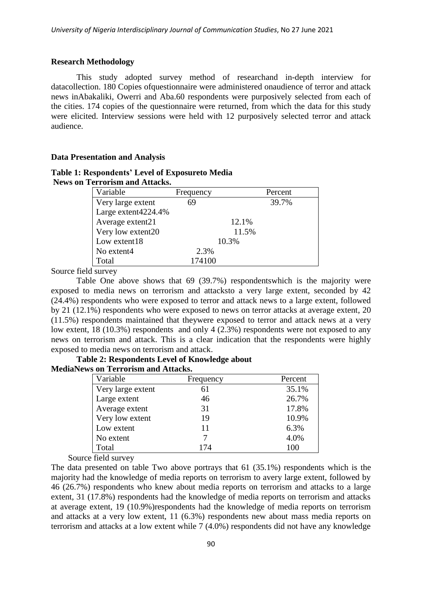## **Research Methodology**

This study adopted survey method of researchand in-depth interview for datacollection. 180 Copies ofquestionnaire were administered onaudience of terror and attack news inAbakaliki, Owerri and Aba.60 respondents were purposively selected from each of the cities. 174 copies of the questionnaire were returned, from which the data for this study were elicited. Interview sessions were held with 12 purposively selected terror and attack audience.

### **Data Presentation and Analysis**

## **Table 1: Respondents' Level of Exposureto Media News on Terrorism and Attacks.**

| Variable            | Frequency | Percent |
|---------------------|-----------|---------|
| Very large extent   | 69        | 39.7%   |
| Large extent4224.4% |           |         |
| Average extent21    |           | 12.1%   |
| Very low extent20   |           | 11.5%   |
| Low extent18        | 10.3%     |         |
| No extent4          | 2.3%      |         |
| Total               | 174100    |         |

Source field survey

Table One above shows that 69 (39.7%) respondentswhich is the majority were exposed to media news on terrorism and attacksto a very large extent, seconded by 42 (24.4%) respondents who were exposed to terror and attack news to a large extent, followed by 21 (12.1%) respondents who were exposed to news on terror attacks at average extent, 20 (11.5%) respondents maintained that theywere exposed to terror and attack news at a very low extent, 18 (10.3%) respondents and only 4 (2.3%) respondents were not exposed to any news on terrorism and attack. This is a clear indication that the respondents were highly exposed to media news on terrorism and attack.

#### **Table 2: Respondents Level of Knowledge about MediaNews on Terrorism and Attacks.**

| Variable          | Frequency | Percent |  |  |  |
|-------------------|-----------|---------|--|--|--|
| Very large extent | 61        | 35.1%   |  |  |  |
| Large extent      | 46        | 26.7%   |  |  |  |
| Average extent    | 31        | 17.8%   |  |  |  |
| Very low extent   | 19        | 10.9%   |  |  |  |
| Low extent        | 11        | 6.3%    |  |  |  |
| No extent         |           | 4.0%    |  |  |  |
| Total             | 174       | 100     |  |  |  |

Source field survey

The data presented on table Two above portrays that 61 (35.1%) respondents which is the majority had the knowledge of media reports on terrorism to avery large extent, followed by 46 (26.7%) respondents who knew about media reports on terrorism and attacks to a large extent, 31 (17.8%) respondents had the knowledge of media reports on terrorism and attacks at average extent, 19 (10.9%)respondents had the knowledge of media reports on terrorism and attacks at a very low extent, 11 (6.3%) respondents new about mass media reports on terrorism and attacks at a low extent while 7 (4.0%) respondents did not have any knowledge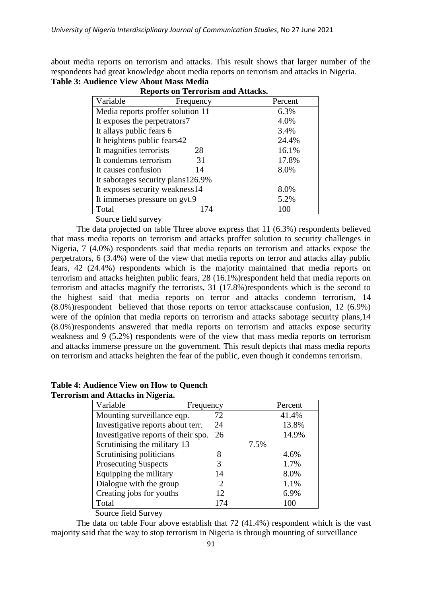about media reports on terrorism and attacks. This result shows that larger number of the respondents had great knowledge about media reports on terrorism and attacks in Nigeria. **Table 3: Audience View About Mass Media** 

 **Reports on Terrorism and Attacks.** 

| Variable                           | Frequency | Percent |  |  |
|------------------------------------|-----------|---------|--|--|
| Media reports proffer solution 11  |           | 6.3%    |  |  |
| It exposes the perpetrators7       |           | 4.0%    |  |  |
| It allays public fears 6           |           | 3.4%    |  |  |
| It heightens public fears42        |           | 24.4%   |  |  |
| It magnifies terrorists            | 28        | 16.1%   |  |  |
| It condemns terrorism              | 31        | 17.8%   |  |  |
| It causes confusion                | 14        | 8.0%    |  |  |
| It sabotages security plans 126.9% |           |         |  |  |
| It exposes security weakness14     |           | 8.0%    |  |  |
| It immerses pressure on gvt.9      |           | 5.2%    |  |  |
| Total                              | 174       | 100     |  |  |

Source field survey

The data projected on table Three above express that 11 (6.3%) respondents believed that mass media reports on terrorism and attacks proffer solution to security challenges in Nigeria, 7 (4.0%) respondents said that media reports on terrorism and attacks expose the perpetrators, 6 (3.4%) were of the view that media reports on terror and attacks allay public fears, 42 (24.4%) respondents which is the majority maintained that media reports on terrorism and attacks heighten public fears, 28 (16.1%)respondent held that media reports on terrorism and attacks magnify the terrorists, 31 (17.8%)respondents which is the second to the highest said that media reports on terror and attacks condemn terrorism, 14 (8.0%)respondent believed that those reports on terror attackscause confusion, 12 (6.9%) were of the opinion that media reports on terrorism and attacks sabotage security plans,14 (8.0%)respondents answered that media reports on terrorism and attacks expose security weakness and 9 (5.2%) respondents were of the view that mass media reports on terrorism and attacks immerse pressure on the government. This result depicts that mass media reports on terrorism and attacks heighten the fear of the public, even though it condemns terrorism.

#### **Table 4: Audience View on How to Quench Terrorism and Attacks in Nigeria.**

| $\cdots$ . There can have $\cdots$  |                       |         |  |  |  |
|-------------------------------------|-----------------------|---------|--|--|--|
| Variable                            | Frequency             | Percent |  |  |  |
| Mounting surveillance eqp.          | 72                    | 41.4%   |  |  |  |
| Investigative reports about terr.   | 24                    | 13.8%   |  |  |  |
| Investigative reports of their spo. | 26                    | 14.9%   |  |  |  |
| Scrutinising the military 13        |                       | 7.5%    |  |  |  |
| Scrutinising politicians            | 8                     | 4.6%    |  |  |  |
| <b>Prosecuting Suspects</b>         | 3                     | 1.7%    |  |  |  |
| Equipping the military              | 14                    | 8.0%    |  |  |  |
| Dialogue with the group             | $\mathcal{D}_{\cdot}$ | 1.1%    |  |  |  |
| Creating jobs for youths            | 12                    | 6.9%    |  |  |  |
| Total                               | 174                   | 100     |  |  |  |

Source field Survey

The data on table Four above establish that 72 (41.4%) respondent which is the vast majority said that the way to stop terrorism in Nigeria is through mounting of surveillance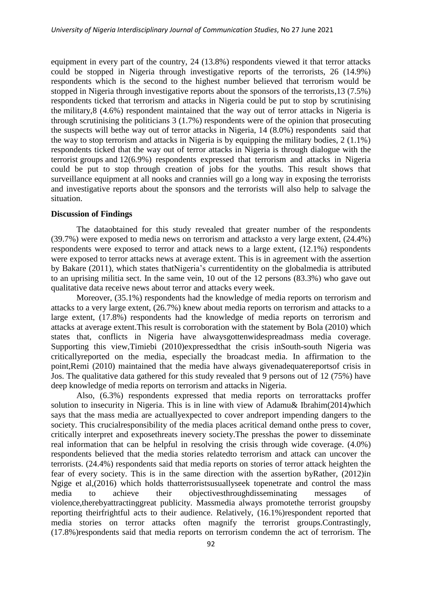equipment in every part of the country, 24 (13.8%) respondents viewed it that terror attacks could be stopped in Nigeria through investigative reports of the terrorists, 26 (14.9%) respondents which is the second to the highest number believed that terrorism would be stopped in Nigeria through investigative reports about the sponsors of the terrorists,13 (7.5%) respondents ticked that terrorism and attacks in Nigeria could be put to stop by scrutinising the military,8 (4.6%) respondent maintained that the way out of terror attacks in Nigeria is through scrutinising the politicians 3 (1.7%) respondents were of the opinion that prosecuting the suspects will bethe way out of terror attacks in Nigeria, 14 (8.0%) respondents said that the way to stop terrorism and attacks in Nigeria is by equipping the military bodies, 2 (1.1%) respondents ticked that the way out of terror attacks in Nigeria is through dialogue with the terrorist groups and 12(6.9%) respondents expressed that terrorism and attacks in Nigeria could be put to stop through creation of jobs for the youths. This result shows that surveillance equipment at all nooks and crannies will go a long way in exposing the terrorists and investigative reports about the sponsors and the terrorists will also help to salvage the situation.

#### **Discussion of Findings**

The dataobtained for this study revealed that greater number of the respondents (39.7%) were exposed to media news on terrorism and attacksto a very large extent, (24.4%) respondents were exposed to terror and attack news to a large extent, (12.1%) respondents were exposed to terror attacks news at average extent. This is in agreement with the assertion by Bakare (2011), which states thatNigeria"s currentidentity on the globalmedia is attributed to an uprising militia sect. In the same vein, 10 out of the 12 persons (83.3%) who gave out qualitative data receive news about terror and attacks every week.

Moreover, (35.1%) respondents had the knowledge of media reports on terrorism and attacks to a very large extent, (26.7%) knew about media reports on terrorism and attacks to a large extent, (17.8%) respondents had the knowledge of media reports on terrorism and attacks at average extent.This result is corroboration with the statement by Bola (2010) which states that, conflicts in Nigeria have alwaysgottenwidespreadmass media coverage. Supporting this view,Timiebi (2010)expressedthat the crisis inSouth-south Nigeria was criticallyreported on the media, especially the broadcast media. In affirmation to the point,Remi (2010) maintained that the media have always givenadequatereportsof crisis in Jos. The qualitative data gathered for this study revealed that 9 persons out of 12 (75%) have deep knowledge of media reports on terrorism and attacks in Nigeria.

Also, (6.3%) respondents expressed that media reports on terrorattacks proffer solution to insecurity in Nigeria. This is in line with view of Adamu& Ibrahim(2014)which says that the mass media are actuallyexpected to cover andreport impending dangers to the society. This crucialresponsibility of the media places acritical demand onthe press to cover, critically interpret and exposethreats inevery society.The presshas the power to disseminate real information that can be helpful in resolving the crisis through wide coverage. (4.0%) respondents believed that the media stories relatedto terrorism and attack can uncover the terrorists. (24.4%) respondents said that media reports on stories of terror attack heighten the fear of every society. This is in the same direction with the assertion byRather, (2012)in Ngige et al,(2016) which holds thatterroristsusuallyseek topenetrate and control the mass media to achieve their objectivesthroughdisseminating messages of violence,therebyattractinggreat publicity. Massmedia always promotethe terrorist groupsby reporting theirfrightful acts to their audience. Relatively, (16.1%)respondent reported that media stories on terror attacks often magnify the terrorist groups.Contrastingly, (17.8%)respondents said that media reports on terrorism condemn the act of terrorism. The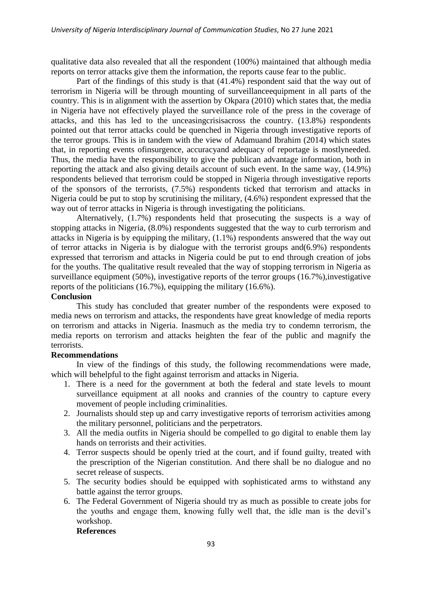qualitative data also revealed that all the respondent (100%) maintained that although media reports on terror attacks give them the information, the reports cause fear to the public.

Part of the findings of this study is that (41.4%) respondent said that the way out of terrorism in Nigeria will be through mounting of surveillanceequipment in all parts of the country. This is in alignment with the assertion by Okpara (2010) which states that, the media in Nigeria have not effectively played the surveillance role of the press in the coverage of attacks, and this has led to the unceasingcrisisacross the country. (13.8%) respondents pointed out that terror attacks could be quenched in Nigeria through investigative reports of the terror groups. This is in tandem with the view of Adamuand Ibrahim (2014) which states that, in reporting events ofinsurgence, accuracyand adequacy of reportage is mostlyneeded. Thus, the media have the responsibility to give the publican advantage information, both in reporting the attack and also giving details account of such event. In the same way, (14.9%) respondents believed that terrorism could be stopped in Nigeria through investigative reports of the sponsors of the terrorists, (7.5%) respondents ticked that terrorism and attacks in Nigeria could be put to stop by scrutinising the military, (4.6%) respondent expressed that the way out of terror attacks in Nigeria is through investigating the politicians.

Alternatively, (1.7%) respondents held that prosecuting the suspects is a way of stopping attacks in Nigeria, (8.0%) respondents suggested that the way to curb terrorism and attacks in Nigeria is by equipping the military, (1.1%) respondents answered that the way out of terror attacks in Nigeria is by dialogue with the terrorist groups and(6.9%) respondents expressed that terrorism and attacks in Nigeria could be put to end through creation of jobs for the youths. The qualitative result revealed that the way of stopping terrorism in Nigeria as surveillance equipment (50%), investigative reports of the terror groups (16.7%), investigative reports of the politicians (16.7%), equipping the military (16.6%).

## **Conclusion**

This study has concluded that greater number of the respondents were exposed to media news on terrorism and attacks, the respondents have great knowledge of media reports on terrorism and attacks in Nigeria. Inasmuch as the media try to condemn terrorism, the media reports on terrorism and attacks heighten the fear of the public and magnify the terrorists.

### **Recommendations**

In view of the findings of this study, the following recommendations were made, which will behelpful to the fight against terrorism and attacks in Nigeria.

- 1. There is a need for the government at both the federal and state levels to mount surveillance equipment at all nooks and crannies of the country to capture every movement of people including criminalities.
- 2. Journalists should step up and carry investigative reports of terrorism activities among the military personnel, politicians and the perpetrators.
- 3. All the media outfits in Nigeria should be compelled to go digital to enable them lay hands on terrorists and their activities.
- 4. Terror suspects should be openly tried at the court, and if found guilty, treated with the prescription of the Nigerian constitution. And there shall be no dialogue and no secret release of suspects.
- 5. The security bodies should be equipped with sophisticated arms to withstand any battle against the terror groups.
- 6. The Federal Government of Nigeria should try as much as possible to create jobs for the youths and engage them, knowing fully well that, the idle man is the devil"s workshop.

# **References**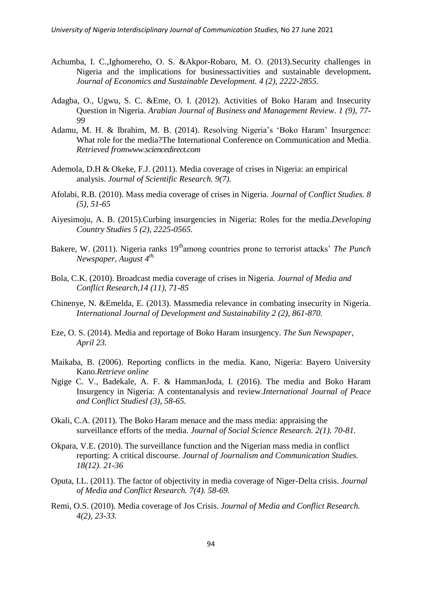- Achumba, I. C.,Ighomereho, O. S. &Akpor-Robaro, M. O. (2013).Security challenges in Nigeria and the implications for businessactivities and sustainable development**.**  *Journal of Economics and Sustainable Development. 4 (2), 2222-2855.*
- Adagba, O., Ugwu, S. C. &Eme, O. I. (2012). Activities of Boko Haram and Insecurity Question in Nigeria. *Arabian Journal of Business and Management Review. 1 (9), 77- 99*
- Adamu, M. H. & Ibrahim, M. B. (2014). Resolving Nigeria's 'Boko Haram' Insurgence: What role for the media?The International Conference on Communication and Media. *Retrieved fro[mwww.sciencedirect.com](http://www.sciencedirect.com/)*
- Ademola, D.H & Okeke, F.J. (2011). Media coverage of crises in Nigeria: an empirical analysis. *Journal of Scientific Research. 9(7).*
- Afolabi, R.B. (2010). Mass media coverage of crises in Nigeria. *Journal of Conflict Studies. 8 (5), 51-65*
- Aiyesimoju, A. B. (2015).Curbing insurgencies in Nigeria: Roles for the media.*Developing Country Studies 5 (2), 2225-0565.*
- Bakere, W. (2011). Nigeria ranks 19<sup>th</sup>among countries prone to terrorist attacks' *The Punch Newspaper, August 4th.*
- Bola, C.K. (2010). Broadcast media coverage of crises in Nigeria. *Journal of Media and Conflict Research,14 (11), 71-85*
- Chinenye, N. &Emelda, E. (2013). Massmedia relevance in combating insecurity in Nigeria. *International Journal of Development and Sustainability 2 (2), 861-870.*
- Eze, O. S. (2014). Media and reportage of Boko Haram insurgency. *The Sun Newspaper, April 23.*
- Maikaba, B. (2006). Reporting conflicts in the media. Kano, Nigeria: Bayero University Kano.*Retrieve online*
- Ngige C. V., Badekale, A. F. & HammanJoda, I. (2016). The media and Boko Haram Insurgency in Nigeria: A contentanalysis and review.*International Journal of Peace and Conflict Studiesl (3), 58-65.*
- Okali, C.A. (2011). The Boko Haram menace and the mass media: appraising the surveillance efforts of the media. *Journal of Social Science Research. 2(1). 70-81.*
- Okpara, V.E. (2010). The surveillance function and the Nigerian mass media in conflict reporting: A critical discourse. *Journal of Journalism and Communication Studies. 18(12). 21-36*
- Oputa, I.L. (2011). The factor of objectivity in media coverage of Niger-Delta crisis. *Journal of Media and Conflict Research. 7(4). 58-69.*
- Remi, O.S. (2010). Media coverage of Jos Crisis. *Journal of Media and Conflict Research. 4(2), 23-33.*